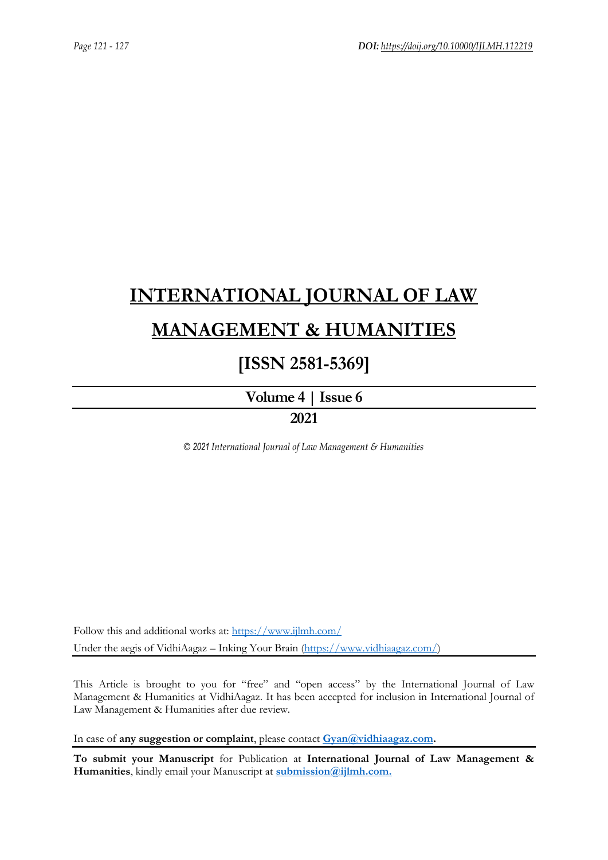# **[INTERNATIONAL JOURNAL OF LAW](https://www.ijlmh.com/)  [MANAGEMENT & HUMANITIES](https://www.ijlmh.com/)**

## **[ISSN 2581-5369]**

**[Volume 4 |](https://www.ijlmh.com/publications/volume-iv-issue-vi/) Issue 6**

### **2021**

*© 2021 International Journal of Law Management & Humanities*

Follow this and additional works at:<https://www.ijlmh.com/> Under the aegis of VidhiAagaz – Inking Your Brain [\(https://www.vidhiaagaz.com/\)](https://www.vidhiaagaz.com/)

This Article is brought to you for "free" and "open access" by the International Journal of Law Management & Humanities at VidhiAagaz. It has been accepted for inclusion in International Journal of Law Management & Humanities after due review.

In case of **any suggestion or complaint**, please contact **[Gyan@vidhiaagaz.com.](mailto:Gyan@vidhiaagaz.com)** 

**To submit your Manuscript** for Publication at **International Journal of Law Management & Humanities**, kindly email your Manuscript at **[submission@ijlmh.com.](mailto:submission@ijlmh.com)**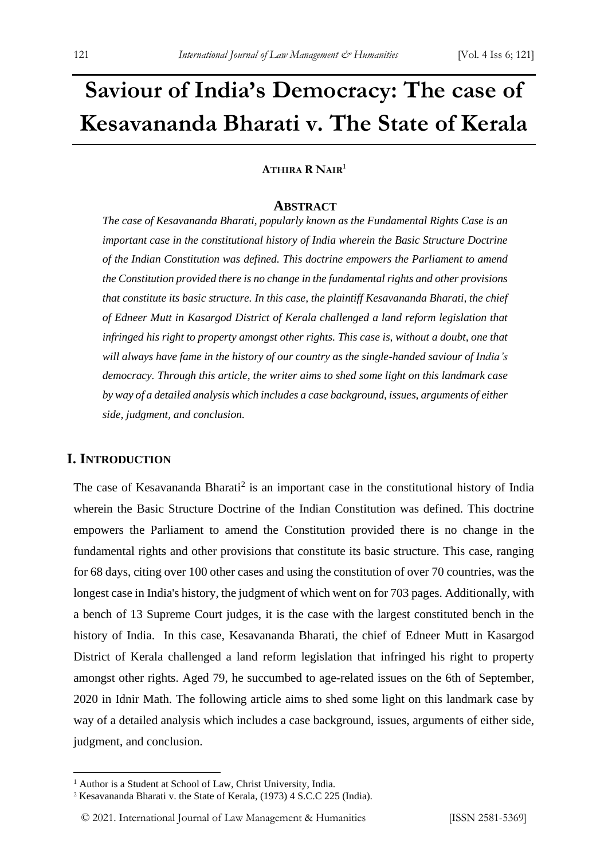# **Saviour of India's Democracy: The case of Kesavananda Bharati v. The State of Kerala**

#### **ATHIRA R NAIR<sup>1</sup>**

#### **ABSTRACT**

*The case of Kesavananda Bharati, popularly known as the Fundamental Rights Case is an important case in the constitutional history of India wherein the Basic Structure Doctrine of the Indian Constitution was defined. This doctrine empowers the Parliament to amend the Constitution provided there is no change in the fundamental rights and other provisions that constitute its basic structure. In this case, the plaintiff Kesavananda Bharati, the chief of Edneer Mutt in Kasargod District of Kerala challenged a land reform legislation that infringed his right to property amongst other rights. This case is, without a doubt, one that will always have fame in the history of our country as the single-handed saviour of India's democracy. Through this article, the writer aims to shed some light on this landmark case by way of a detailed analysis which includes a case background, issues, arguments of either side, judgment, and conclusion.*

#### **I. INTRODUCTION**

The case of Kesavananda Bharati<sup>2</sup> is an important case in the constitutional history of India wherein the Basic Structure Doctrine of the Indian Constitution was defined. This doctrine empowers the Parliament to amend the Constitution provided there is no change in the fundamental rights and other provisions that constitute its basic structure. This case, ranging for 68 days, citing over 100 other cases and using the constitution of over 70 countries, was the longest case in India's history, the judgment of which went on for 703 pages. Additionally, with a bench of 13 Supreme Court judges, it is the case with the largest constituted bench in the history of India. In this case, Kesavananda Bharati, the chief of Edneer Mutt in Kasargod District of Kerala challenged a land reform legislation that infringed his right to property amongst other rights. Aged 79, he succumbed to age-related issues on the 6th of September, 2020 in Idnir Math. The following article aims to shed some light on this landmark case by way of a detailed analysis which includes a case background, issues, arguments of either side, judgment, and conclusion.

<sup>&</sup>lt;sup>1</sup> Author is a Student at School of Law, Christ University, India.

<sup>2</sup> Kesavananda Bharati v. the State of Kerala, (1973) 4 S.C.C 225 (India).

<sup>© 2021.</sup> International Journal of [Law Management & Humanities](https://www.ijlmh.com/) [ISSN 2581-5369]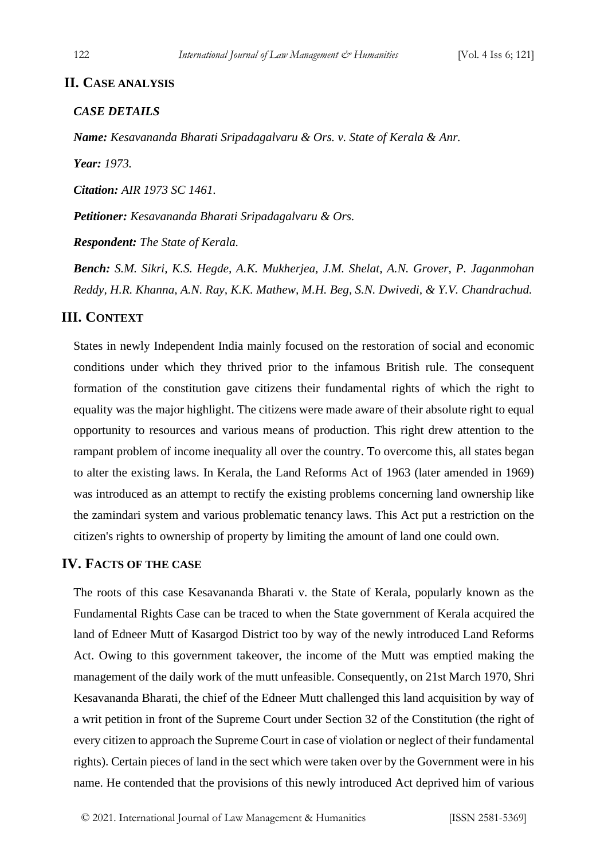#### **II. CASE ANALYSIS**

#### *CASE DETAILS*

*Name: Kesavananda Bharati Sripadagalvaru & Ors. v. State of Kerala & Anr.*

*Year: 1973.*

*Citation: AIR 1973 SC 1461.*

*Petitioner: Kesavananda Bharati Sripadagalvaru & Ors.*

*Respondent: The State of Kerala.*

*Bench: S.M. Sikri, K.S. Hegde, A.K. Mukherjea, J.M. Shelat, A.N. Grover, P. Jaganmohan Reddy, H.R. Khanna, A.N. Ray, K.K. Mathew, M.H. Beg, S.N. Dwivedi, & Y.V. Chandrachud.*

#### **III. CONTEXT**

States in newly Independent India mainly focused on the restoration of social and economic conditions under which they thrived prior to the infamous British rule. The consequent formation of the constitution gave citizens their fundamental rights of which the right to equality was the major highlight. The citizens were made aware of their absolute right to equal opportunity to resources and various means of production. This right drew attention to the rampant problem of income inequality all over the country. To overcome this, all states began to alter the existing laws. In Kerala, the Land Reforms Act of 1963 (later amended in 1969) was introduced as an attempt to rectify the existing problems concerning land ownership like the zamindari system and various problematic tenancy laws. This Act put a restriction on the citizen's rights to ownership of property by limiting the amount of land one could own.

#### **IV. FACTS OF THE CASE**

The roots of this case Kesavananda Bharati v. the State of Kerala, popularly known as the Fundamental Rights Case can be traced to when the State government of Kerala acquired the land of Edneer Mutt of Kasargod District too by way of the newly introduced Land Reforms Act. Owing to this government takeover, the income of the Mutt was emptied making the management of the daily work of the mutt unfeasible. Consequently, on 21st March 1970, Shri Kesavananda Bharati, the chief of the Edneer Mutt challenged this land acquisition by way of a writ petition in front of the Supreme Court under Section 32 of the Constitution (the right of every citizen to approach the Supreme Court in case of violation or neglect of their fundamental rights). Certain pieces of land in the sect which were taken over by the Government were in his name. He contended that the provisions of this newly introduced Act deprived him of various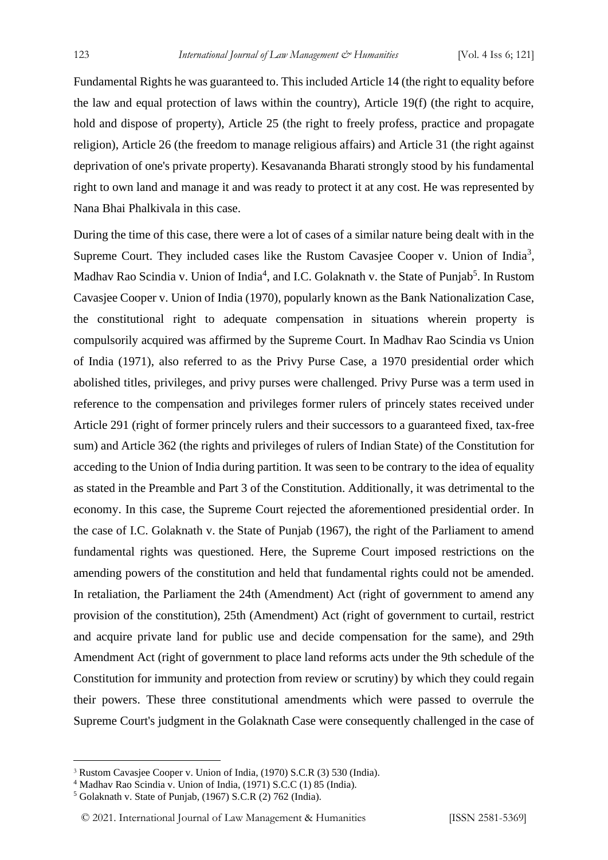Fundamental Rights he was guaranteed to. This included Article 14 (the right to equality before the law and equal protection of laws within the country), Article 19(f) (the right to acquire, hold and dispose of property), Article 25 (the right to freely profess, practice and propagate religion), Article 26 (the freedom to manage religious affairs) and Article 31 (the right against deprivation of one's private property). Kesavananda Bharati strongly stood by his fundamental right to own land and manage it and was ready to protect it at any cost. He was represented by Nana Bhai Phalkivala in this case.

During the time of this case, there were a lot of cases of a similar nature being dealt with in the Supreme Court. They included cases like the Rustom Cavasjee Cooper v. Union of India<sup>3</sup>, Madhav Rao Scindia v. Union of India<sup>4</sup>, and I.C. Golaknath v. the State of Punjab<sup>5</sup>. In Rustom Cavasjee Cooper v. Union of India (1970), popularly known as the Bank Nationalization Case, the constitutional right to adequate compensation in situations wherein property is compulsorily acquired was affirmed by the Supreme Court. In Madhav Rao Scindia vs Union of India (1971), also referred to as the Privy Purse Case, a 1970 presidential order which abolished titles, privileges, and privy purses were challenged. Privy Purse was a term used in reference to the compensation and privileges former rulers of princely states received under Article 291 (right of former princely rulers and their successors to a guaranteed fixed, tax-free sum) and Article 362 (the rights and privileges of rulers of Indian State) of the Constitution for acceding to the Union of India during partition. It was seen to be contrary to the idea of equality as stated in the Preamble and Part 3 of the Constitution. Additionally, it was detrimental to the economy. In this case, the Supreme Court rejected the aforementioned presidential order. In the case of I.C. Golaknath v. the State of Punjab (1967), the right of the Parliament to amend fundamental rights was questioned. Here, the Supreme Court imposed restrictions on the amending powers of the constitution and held that fundamental rights could not be amended. In retaliation, the Parliament the 24th (Amendment) Act (right of government to amend any provision of the constitution), 25th (Amendment) Act (right of government to curtail, restrict and acquire private land for public use and decide compensation for the same), and 29th Amendment Act (right of government to place land reforms acts under the 9th schedule of the Constitution for immunity and protection from review or scrutiny) by which they could regain their powers. These three constitutional amendments which were passed to overrule the Supreme Court's judgment in the Golaknath Case were consequently challenged in the case of

<sup>3</sup> Rustom Cavasjee Cooper v. Union of India, (1970) S.C.R (3) 530 (India).

<sup>4</sup> Madhav Rao Scindia v. Union of India, (1971) S.C.C (1) 85 (India).

<sup>5</sup> Golaknath v. State of Punjab, (1967) S.C.R (2) 762 (India).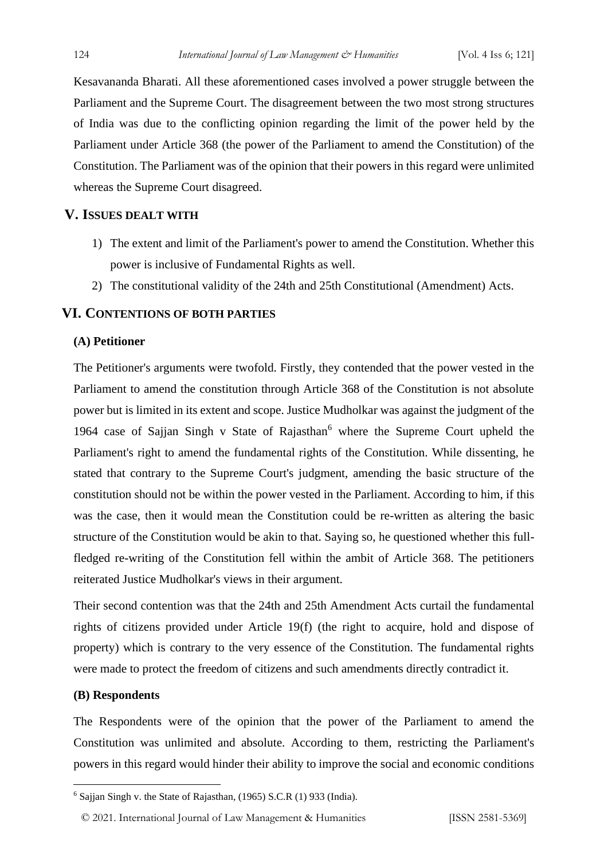Kesavananda Bharati. All these aforementioned cases involved a power struggle between the Parliament and the Supreme Court. The disagreement between the two most strong structures of India was due to the conflicting opinion regarding the limit of the power held by the Parliament under Article 368 (the power of the Parliament to amend the Constitution) of the Constitution. The Parliament was of the opinion that their powers in this regard were unlimited whereas the Supreme Court disagreed.

#### **V. ISSUES DEALT WITH**

- 1) The extent and limit of the Parliament's power to amend the Constitution. Whether this power is inclusive of Fundamental Rights as well.
- 2) The constitutional validity of the 24th and 25th Constitutional (Amendment) Acts.

#### **VI. CONTENTIONS OF BOTH PARTIES**

#### **(A) Petitioner**

The Petitioner's arguments were twofold. Firstly, they contended that the power vested in the Parliament to amend the constitution through Article 368 of the Constitution is not absolute power but is limited in its extent and scope. Justice Mudholkar was against the judgment of the 1964 case of Sajjan Singh v State of Rajasthan<sup>6</sup> where the Supreme Court upheld the Parliament's right to amend the fundamental rights of the Constitution. While dissenting, he stated that contrary to the Supreme Court's judgment, amending the basic structure of the constitution should not be within the power vested in the Parliament. According to him, if this was the case, then it would mean the Constitution could be re-written as altering the basic structure of the Constitution would be akin to that. Saying so, he questioned whether this fullfledged re-writing of the Constitution fell within the ambit of Article 368. The petitioners reiterated Justice Mudholkar's views in their argument.

Their second contention was that the 24th and 25th Amendment Acts curtail the fundamental rights of citizens provided under Article 19(f) (the right to acquire, hold and dispose of property) which is contrary to the very essence of the Constitution. The fundamental rights were made to protect the freedom of citizens and such amendments directly contradict it.

#### **(B) Respondents**

The Respondents were of the opinion that the power of the Parliament to amend the Constitution was unlimited and absolute. According to them, restricting the Parliament's powers in this regard would hinder their ability to improve the social and economic conditions

<sup>6</sup> Sajjan Singh v. the State of Rajasthan, (1965) S.C.R (1) 933 (India).

<sup>© 2021.</sup> International Journal of [Law Management & Humanities](https://www.ijlmh.com/) [ISSN 2581-5369]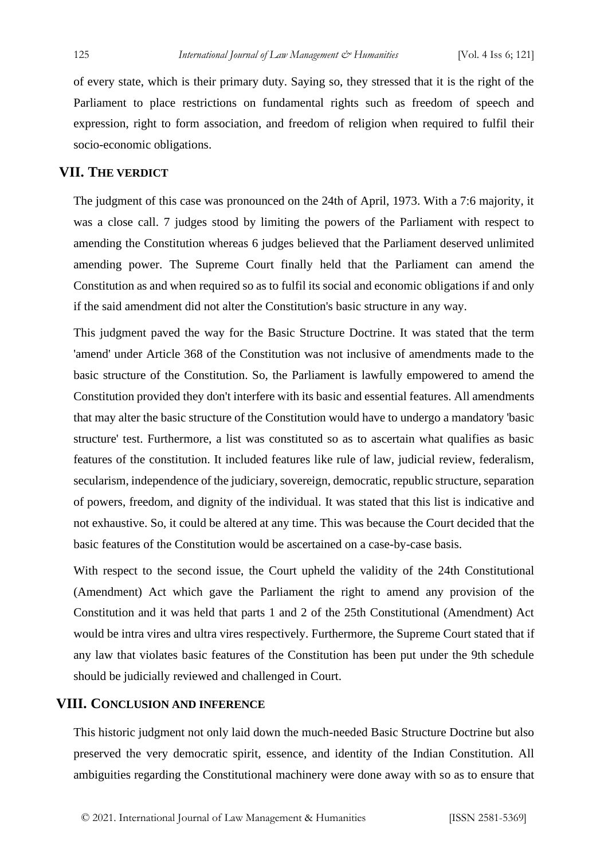of every state, which is their primary duty. Saying so, they stressed that it is the right of the Parliament to place restrictions on fundamental rights such as freedom of speech and expression, right to form association, and freedom of religion when required to fulfil their socio-economic obligations.

#### **VII. THE VERDICT**

The judgment of this case was pronounced on the 24th of April, 1973. With a 7:6 majority, it was a close call. 7 judges stood by limiting the powers of the Parliament with respect to amending the Constitution whereas 6 judges believed that the Parliament deserved unlimited amending power. The Supreme Court finally held that the Parliament can amend the Constitution as and when required so as to fulfil its social and economic obligations if and only if the said amendment did not alter the Constitution's basic structure in any way.

This judgment paved the way for the Basic Structure Doctrine. It was stated that the term 'amend' under Article 368 of the Constitution was not inclusive of amendments made to the basic structure of the Constitution. So, the Parliament is lawfully empowered to amend the Constitution provided they don't interfere with its basic and essential features. All amendments that may alter the basic structure of the Constitution would have to undergo a mandatory 'basic structure' test. Furthermore, a list was constituted so as to ascertain what qualifies as basic features of the constitution. It included features like rule of law, judicial review, federalism, secularism, independence of the judiciary, sovereign, democratic, republic structure, separation of powers, freedom, and dignity of the individual. It was stated that this list is indicative and not exhaustive. So, it could be altered at any time. This was because the Court decided that the basic features of the Constitution would be ascertained on a case-by-case basis.

With respect to the second issue, the Court upheld the validity of the 24th Constitutional (Amendment) Act which gave the Parliament the right to amend any provision of the Constitution and it was held that parts 1 and 2 of the 25th Constitutional (Amendment) Act would be intra vires and ultra vires respectively. Furthermore, the Supreme Court stated that if any law that violates basic features of the Constitution has been put under the 9th schedule should be judicially reviewed and challenged in Court.

#### **VIII. CONCLUSION AND INFERENCE**

This historic judgment not only laid down the much-needed Basic Structure Doctrine but also preserved the very democratic spirit, essence, and identity of the Indian Constitution. All ambiguities regarding the Constitutional machinery were done away with so as to ensure that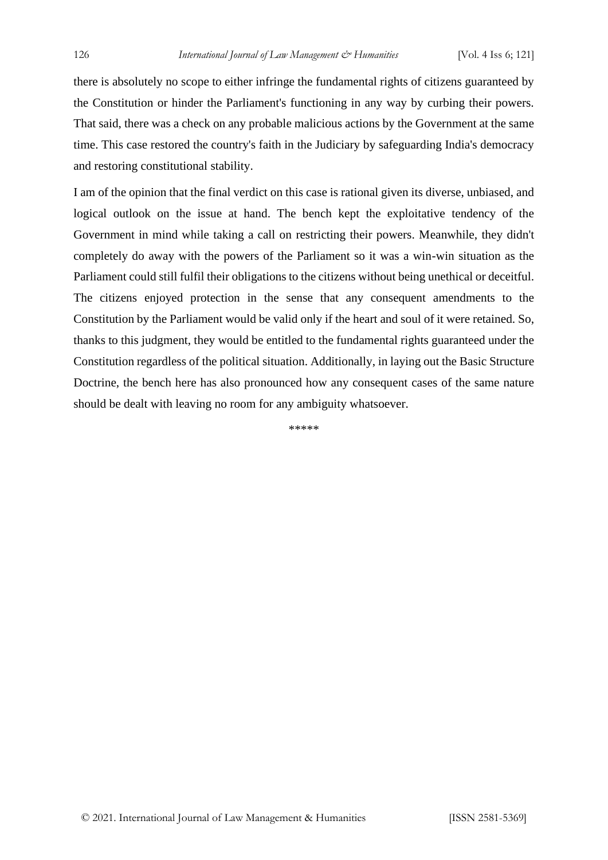there is absolutely no scope to either infringe the fundamental rights of citizens guaranteed by the Constitution or hinder the Parliament's functioning in any way by curbing their powers. That said, there was a check on any probable malicious actions by the Government at the same time. This case restored the country's faith in the Judiciary by safeguarding India's democracy and restoring constitutional stability.

I am of the opinion that the final verdict on this case is rational given its diverse, unbiased, and logical outlook on the issue at hand. The bench kept the exploitative tendency of the Government in mind while taking a call on restricting their powers. Meanwhile, they didn't completely do away with the powers of the Parliament so it was a win-win situation as the Parliament could still fulfil their obligations to the citizens without being unethical or deceitful. The citizens enjoyed protection in the sense that any consequent amendments to the Constitution by the Parliament would be valid only if the heart and soul of it were retained. So, thanks to this judgment, they would be entitled to the fundamental rights guaranteed under the Constitution regardless of the political situation. Additionally, in laying out the Basic Structure Doctrine, the bench here has also pronounced how any consequent cases of the same nature should be dealt with leaving no room for any ambiguity whatsoever.

\*\*\*\*\*